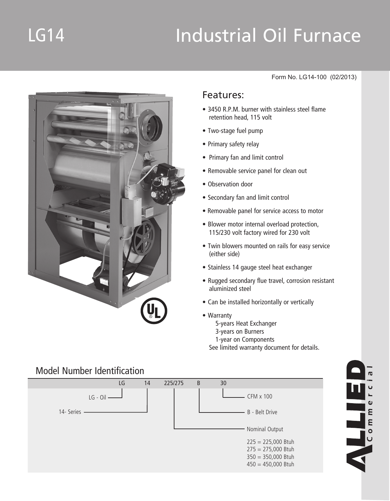# LG14 Industrial Oil Furnace



#### Form No. LG14-100 (02/2013)

 $\mathbf 0$ 

### Features:

- 3450 R.P.M. burner with stainless steel flame retention head, 115 volt
- • Two-stage fuel pump
- Primary safety relay
- Primary fan and limit control
- Removable service panel for clean out
- Observation door
- Secondary fan and limit control
- Removable panel for service access to motor
- Blower motor internal overload protection, 115/230 volt factory wired for 230 volt
- Twin blowers mounted on rails for easy service (either side)
- Stainless 14 gauge steel heat exchanger
- Rugged secondary flue travel, corrosion resistant aluminized steel
- Can be installed horizontally or vertically
- • Warranty 5-years Heat Exchanger 3-years on Burners 1-year on Components See limited warranty document for details.